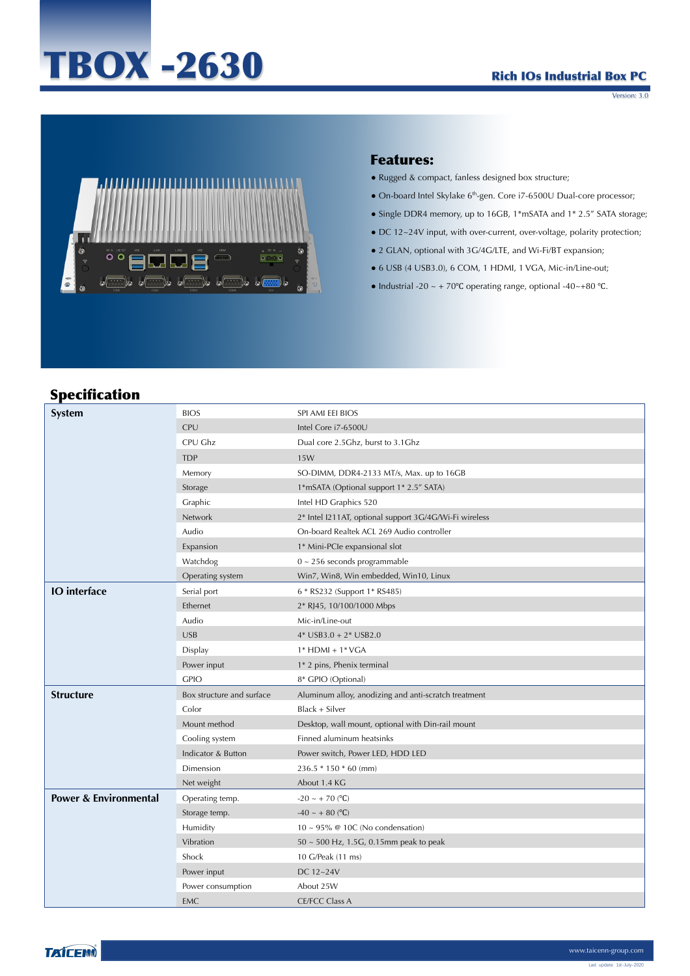# TBOX -2630

### Rich IOs Industrial Box PC

Version: 3.0



#### Features:

- Rugged & compact, fanless designed box structure;
- $\bullet$  On-board Intel Skylake 6<sup>th</sup>-gen. Core i7-6500U Dual-core processor;
- Single DDR4 memory, up to 16GB, 1\*mSATA and 1\* 2.5" SATA storage;
- DC 12~24V input, with over-current, over-voltage, polarity protection;
- 2 GLAN, optional with 3G/4G/LTE, and Wi-Fi/BT expansion;
- 6 USB (4 USB3.0), 6 COM, 1 HDMI, 1 VGA, Mic-in/Line-out;
- Industrial -20 ~ + 70°C operating range, optional -40~+80 °C.

# Specification

| spechnation                      |                           |                                                        |
|----------------------------------|---------------------------|--------------------------------------------------------|
| System                           | <b>BIOS</b>               | SPI AMI EEI BIOS                                       |
|                                  | <b>CPU</b>                | Intel Core i7-6500U                                    |
|                                  | CPU Ghz                   | Dual core 2.5Ghz, burst to 3.1Ghz                      |
|                                  | <b>TDP</b>                | 15W                                                    |
|                                  | Memory                    | SO-DIMM, DDR4-2133 MT/s, Max. up to 16GB               |
|                                  | Storage                   | 1*mSATA (Optional support 1* 2.5" SATA)                |
|                                  | Graphic                   | Intel HD Graphics 520                                  |
|                                  | Network                   | 2* Intel I211AT, optional support 3G/4G/Wi-Fi wireless |
|                                  | Audio                     | On-board Realtek ACL 269 Audio controller              |
|                                  | Expansion                 | 1* Mini-PCle expansional slot                          |
|                                  | Watchdog                  | $0 \sim 256$ seconds programmable                      |
|                                  | Operating system          | Win7, Win8, Win embedded, Win10, Linux                 |
| <b>IO</b> interface              | Serial port               | 6 * RS232 (Support 1* RS485)                           |
|                                  | Ethernet                  | 2* RJ45, 10/100/1000 Mbps                              |
|                                  | Audio                     | Mic-in/Line-out                                        |
|                                  | <b>USB</b>                | $4*$ USB3.0 + $2*$ USB2.0                              |
|                                  | Display                   | $1*$ HDMI + $1*$ VGA                                   |
|                                  | Power input               | 1* 2 pins, Phenix terminal                             |
|                                  | <b>GPIO</b>               | 8* GPIO (Optional)                                     |
| <b>Structure</b>                 | Box structure and surface | Aluminum alloy, anodizing and anti-scratch treatment   |
|                                  | Color                     | Black + Silver                                         |
|                                  | Mount method              | Desktop, wall mount, optional with Din-rail mount      |
|                                  | Cooling system            | Finned aluminum heatsinks                              |
|                                  | Indicator & Button        | Power switch, Power LED, HDD LED                       |
|                                  | Dimension                 | 236.5 * 150 * 60 (mm)                                  |
|                                  | Net weight                | About 1.4 KG                                           |
| <b>Power &amp; Environmental</b> | Operating temp.           | $-20 \sim +70$ (°C)                                    |
|                                  | Storage temp.             | $-40 \sim +80$ (°C)                                    |
|                                  | Humidity                  | $10 \sim 95\%$ @ 10C (No condensation)                 |
|                                  | Vibration                 | $50 \sim 500$ Hz, 1.5G, 0.15mm peak to peak            |
|                                  | Shock                     | 10 G/Peak (11 ms)                                      |
|                                  | Power input               | DC 12~24V                                              |
|                                  | Power consumption         | About 25W                                              |
|                                  | <b>EMC</b>                | <b>CE/FCC Class A</b>                                  |